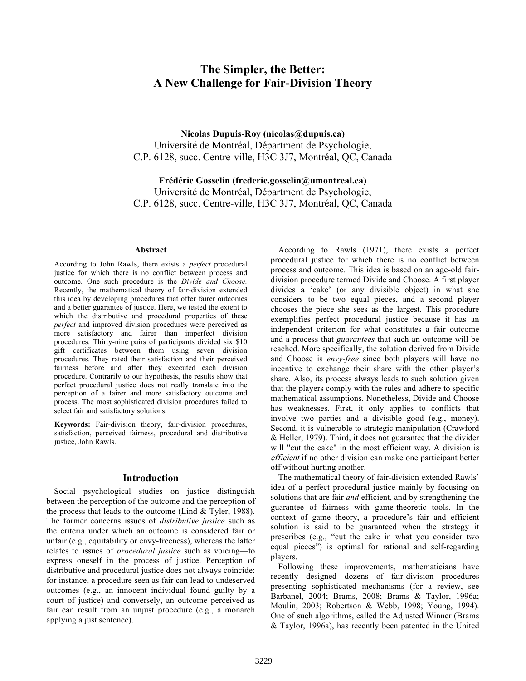# **The Simpler, the Better: A New Challenge for Fair-Division Theory**

**Nicolas Dupuis-Roy (nicolas@dupuis.ca)** Université de Montréal, Départment de Psychologie, C.P. 6128, succ. Centre-ville, H3C 3J7, Montréal, QC, Canada

**Frédéric Gosselin (frederic.gosselin@umontreal.ca)** Université de Montréal, Départment de Psychologie, C.P. 6128, succ. Centre-ville, H3C 3J7, Montréal, QC, Canada

#### **Abstract**

According to John Rawls, there exists a *perfect* procedural justice for which there is no conflict between process and outcome. One such procedure is the *Divide and Choose.*  Recently, the mathematical theory of fair-division extended this idea by developing procedures that offer fairer outcomes and a better guarantee of justice. Here, we tested the extent to which the distributive and procedural properties of these *perfect* and improved division procedures were perceived as more satisfactory and fairer than imperfect division procedures. Thirty-nine pairs of participants divided six \$10 gift certificates between them using seven division procedures. They rated their satisfaction and their perceived fairness before and after they executed each division procedure. Contrarily to our hypothesis, the results show that perfect procedural justice does not really translate into the perception of a fairer and more satisfactory outcome and process. The most sophisticated division procedures failed to select fair and satisfactory solutions.

**Keywords:** Fair-division theory, fair-division procedures, satisfaction, perceived fairness, procedural and distributive justice, John Rawls.

#### **Introduction**

Social psychological studies on justice distinguish between the perception of the outcome and the perception of the process that leads to the outcome (Lind & Tyler, 1988). The former concerns issues of *distributive justice* such as the criteria under which an outcome is considered fair or unfair (e.g., equitability or envy-freeness), whereas the latter relates to issues of *procedural justice* such as voicing—to express oneself in the process of justice. Perception of distributive and procedural justice does not always coincide: for instance, a procedure seen as fair can lead to undeserved outcomes (e.g., an innocent individual found guilty by a court of justice) and conversely, an outcome perceived as fair can result from an unjust procedure (e.g., a monarch applying a just sentence).

According to Rawls (1971), there exists a perfect procedural justice for which there is no conflict between process and outcome. This idea is based on an age-old fairdivision procedure termed Divide and Choose. A first player divides a 'cake' (or any divisible object) in what she considers to be two equal pieces, and a second player chooses the piece she sees as the largest. This procedure exemplifies perfect procedural justice because it has an independent criterion for what constitutes a fair outcome and a process that *guarantees* that such an outcome will be reached. More specifically, the solution derived from Divide and Choose is *envy-free* since both players will have no incentive to exchange their share with the other player's share. Also, its process always leads to such solution given that the players comply with the rules and adhere to specific mathematical assumptions. Nonetheless, Divide and Choose has weaknesses. First, it only applies to conflicts that involve two parties and a divisible good (e.g., money). Second, it is vulnerable to strategic manipulation (Crawford & Heller, 1979). Third, it does not guarantee that the divider will "cut the cake" in the most efficient way. A division is efficient if no other division can make one participant better off without hurting another.

The mathematical theory of fair-division extended Rawls' idea of a perfect procedural justice mainly by focusing on solutions that are fair *and* efficient*,* and by strengthening the guarantee of fairness with game-theoretic tools. In the context of game theory, a procedure's fair and efficient solution is said to be guaranteed when the strategy it prescribes (e.g., "cut the cake in what you consider two equal pieces") is optimal for rational and self-regarding players.

Following these improvements, mathematicians have recently designed dozens of fair-division procedures presenting sophisticated mechanisms (for a review, see Barbanel, 2004; Brams, 2008; Brams & Taylor, 1996a; Moulin, 2003; Robertson & Webb, 1998; Young, 1994). One of such algorithms, called the Adjusted Winner (Brams & Taylor, 1996a), has recently been patented in the United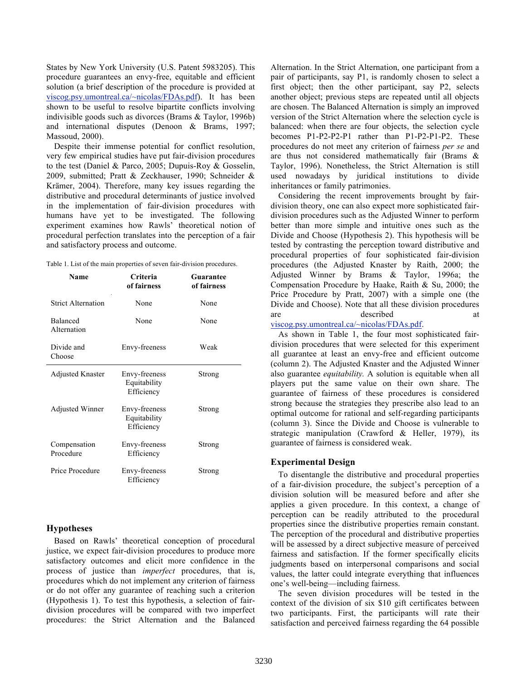States by New York University (U.S. Patent 5983205). This procedure guarantees an envy-free, equitable and efficient solution (a brief description of the procedure is provided at viscog.psy.umontreal.ca/~nicolas/FDAs.pdf). It has been shown to be useful to resolve bipartite conflicts involving indivisible goods such as divorces (Brams & Taylor, 1996b) and international disputes (Denoon & Brams, 1997; Massoud, 2000).

Despite their immense potential for conflict resolution, very few empirical studies have put fair-division procedures to the test (Daniel & Parco, 2005; Dupuis-Roy & Gosselin, 2009, submitted; Pratt & Zeckhauser, 1990; Schneider & Krämer, 2004). Therefore, many key issues regarding the distributive and procedural determinants of justice involved in the implementation of fair-division procedures with humans have yet to be investigated. The following experiment examines how Rawls' theoretical notion of procedural perfection translates into the perception of a fair and satisfactory process and outcome.

|  |  |  | Table 1. List of the main properties of seven fair-division procedures. |  |  |  |  |
|--|--|--|-------------------------------------------------------------------------|--|--|--|--|
|  |  |  |                                                                         |  |  |  |  |

| Name                      | Criteria<br>of fairness                     | Guarantee<br>of fairness |
|---------------------------|---------------------------------------------|--------------------------|
| <b>Strict Alternation</b> | None                                        | None                     |
| Balanced<br>Alternation   | None                                        | None                     |
| Divide and<br>Choose      | Envy-freeness                               | Weak                     |
| <b>Adjusted Knaster</b>   | Envy-freeness<br>Equitability<br>Efficiency | Strong                   |
| Adjusted Winner           | Envy-freeness<br>Equitability<br>Efficiency | Strong                   |
| Compensation<br>Procedure | Envy-freeness<br>Efficiency                 | Strong                   |
| Price Procedure           | Envy-freeness<br>Efficiency                 | Strong                   |

# **Hypotheses**

Based on Rawls' theoretical conception of procedural justice, we expect fair-division procedures to produce more satisfactory outcomes and elicit more confidence in the process of justice than *imperfect* procedures, that is, procedures which do not implement any criterion of fairness or do not offer any guarantee of reaching such a criterion (Hypothesis 1). To test this hypothesis, a selection of fairdivision procedures will be compared with two imperfect procedures: the Strict Alternation and the Balanced Alternation. In the Strict Alternation, one participant from a pair of participants, say P1, is randomly chosen to select a first object; then the other participant, say P2, selects another object; previous steps are repeated until all objects are chosen. The Balanced Alternation is simply an improved version of the Strict Alternation where the selection cycle is balanced: when there are four objects, the selection cycle becomes P1-P2-P2-P1 rather than P1-P2-P1-P2. These procedures do not meet any criterion of fairness *per se* and are thus not considered mathematically fair (Brams & Taylor, 1996). Nonetheless, the Strict Alternation is still used nowadays by juridical institutions to divide inheritances or family patrimonies.

Considering the recent improvements brought by fairdivision theory, one can also expect more sophisticated fairdivision procedures such as the Adjusted Winner to perform better than more simple and intuitive ones such as the Divide and Choose (Hypothesis 2). This hypothesis will be tested by contrasting the perception toward distributive and procedural properties of four sophisticated fair-division procedures (the Adjusted Knaster by Raith, 2000; the Adjusted Winner by Brams & Taylor, 1996a; the Compensation Procedure by Haake, Raith & Su, 2000; the Price Procedure by Pratt, 2007) with a simple one (the Divide and Choose). Note that all these division procedures are described at

#### viscog.psy.umontreal.ca/~nicolas/FDAs.pdf.

As shown in Table 1, the four most sophisticated fairdivision procedures that were selected for this experiment all guarantee at least an envy-free and efficient outcome (column 2). The Adjusted Knaster and the Adjusted Winner also guarantee *equitability.* A solution is equitable when all players put the same value on their own share. The guarantee of fairness of these procedures is considered strong because the strategies they prescribe also lead to an optimal outcome for rational and self-regarding participants (column 3). Since the Divide and Choose is vulnerable to strategic manipulation (Crawford & Heller, 1979), its guarantee of fairness is considered weak.

### **Experimental Design**

To disentangle the distributive and procedural properties of a fair-division procedure, the subject's perception of a division solution will be measured before and after she applies a given procedure. In this context, a change of perception can be readily attributed to the procedural properties since the distributive properties remain constant. The perception of the procedural and distributive properties will be assessed by a direct subjective measure of perceived fairness and satisfaction. If the former specifically elicits judgments based on interpersonal comparisons and social values, the latter could integrate everything that influences one's well-being—including fairness.

The seven division procedures will be tested in the context of the division of six \$10 gift certificates between two participants. First, the participants will rate their satisfaction and perceived fairness regarding the 64 possible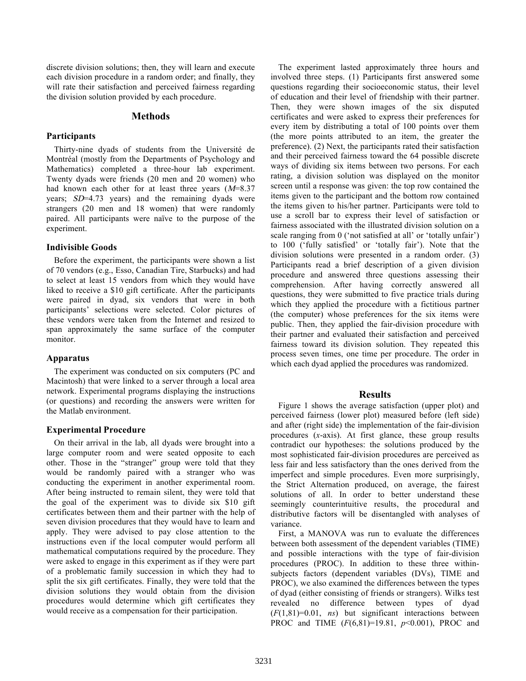discrete division solutions; then, they will learn and execute each division procedure in a random order; and finally, they will rate their satisfaction and perceived fairness regarding the division solution provided by each procedure.

### **Methods**

# **Participants**

Thirty-nine dyads of students from the Université de Montréal (mostly from the Departments of Psychology and Mathematics) completed a three-hour lab experiment. Twenty dyads were friends (20 men and 20 women) who had known each other for at least three years  $(M=8.37)$ years; SD=4.73 years) and the remaining dyads were strangers (20 men and 18 women) that were randomly paired. All participants were naïve to the purpose of the experiment.

#### **Indivisible Goods**

Before the experiment, the participants were shown a list of 70 vendors (e.g., Esso, Canadian Tire, Starbucks) and had to select at least 15 vendors from which they would have liked to receive a \$10 gift certificate. After the participants were paired in dyad, six vendors that were in both participants' selections were selected. Color pictures of these vendors were taken from the Internet and resized to span approximately the same surface of the computer monitor.

### **Apparatus**

The experiment was conducted on six computers (PC and Macintosh) that were linked to a server through a local area network. Experimental programs displaying the instructions (or questions) and recording the answers were written for the Matlab environment.

## **Experimental Procedure**

On their arrival in the lab, all dyads were brought into a large computer room and were seated opposite to each other. Those in the "stranger" group were told that they would be randomly paired with a stranger who was conducting the experiment in another experimental room. After being instructed to remain silent, they were told that the goal of the experiment was to divide six \$10 gift certificates between them and their partner with the help of seven division procedures that they would have to learn and apply. They were advised to pay close attention to the instructions even if the local computer would perform all mathematical computations required by the procedure. They were asked to engage in this experiment as if they were part of a problematic family succession in which they had to split the six gift certificates. Finally, they were told that the division solutions they would obtain from the division procedures would determine which gift certificates they would receive as a compensation for their participation.

The experiment lasted approximately three hours and involved three steps. (1) Participants first answered some questions regarding their socioeconomic status, their level of education and their level of friendship with their partner. Then, they were shown images of the six disputed certificates and were asked to express their preferences for every item by distributing a total of 100 points over them (the more points attributed to an item, the greater the preference). (2) Next, the participants rated their satisfaction and their perceived fairness toward the 64 possible discrete ways of dividing six items between two persons. For each rating, a division solution was displayed on the monitor screen until a response was given: the top row contained the items given to the participant and the bottom row contained the items given to his/her partner. Participants were told to use a scroll bar to express their level of satisfaction or fairness associated with the illustrated division solution on a scale ranging from 0 ('not satisfied at all' or 'totally unfair') to 100 ('fully satisfied' or 'totally fair'). Note that the division solutions were presented in a random order. (3) Participants read a brief description of a given division procedure and answered three questions assessing their comprehension. After having correctly answered all questions, they were submitted to five practice trials during which they applied the procedure with a fictitious partner (the computer) whose preferences for the six items were public. Then, they applied the fair-division procedure with their partner and evaluated their satisfaction and perceived fairness toward its division solution. They repeated this process seven times, one time per procedure. The order in which each dyad applied the procedures was randomized.

## **Results**

Figure 1 shows the average satisfaction (upper plot) and perceived fairness (lower plot) measured before (left side) and after (right side) the implementation of the fair-division procedures (*x*-axis). At first glance, these group results contradict our hypotheses: the solutions produced by the most sophisticated fair-division procedures are perceived as less fair and less satisfactory than the ones derived from the imperfect and simple procedures. Even more surprisingly, the Strict Alternation produced, on average, the fairest solutions of all. In order to better understand these seemingly counterintuitive results, the procedural and distributive factors will be disentangled with analyses of variance.

First, a MANOVA was run to evaluate the differences between both assessment of the dependent variables (TIME) and possible interactions with the type of fair-division procedures (PROC). In addition to these three withinsubjects factors (dependent variables (DVs), TIME and PROC), we also examined the differences between the types of dyad (either consisting of friends or strangers). Wilks test revealed no difference between types of dyad (*F*(1,81)=0.01, *ns*) but significant interactions between PROC and TIME (*F*(6,81)=19.81, *p*<0.001), PROC and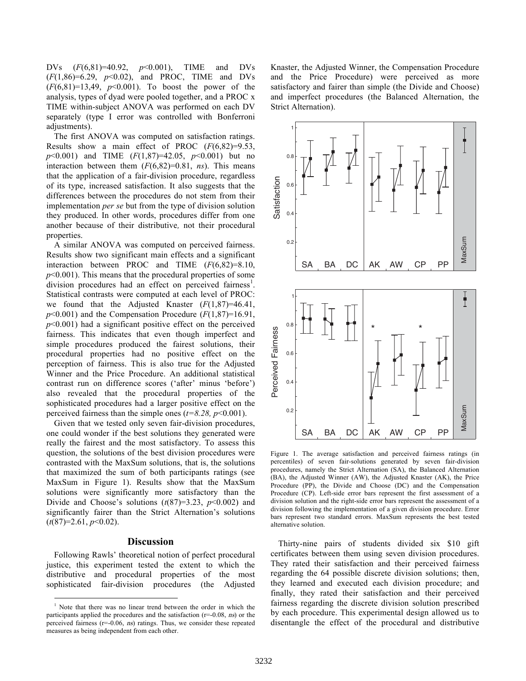DVs (*F*(6,81)=40.92, *p*<0.001), TIME and DVs (*F*(1,86)=6.29, *p*<0.02), and PROC, TIME and DVs  $(F(6,81)=13,49, p<0.001)$ . To boost the power of the analysis, types of dyad were pooled together, and a PROC x TIME within-subject ANOVA was performed on each DV separately (type I error was controlled with Bonferroni adjustments).

The first ANOVA was computed on satisfaction ratings. Results show a main effect of PROC (*F*(6,82)=9.53, *p*<0.001) and TIME (*F*(1,87)=42.05, *p*<0.001) but no interaction between them  $(F(6,82)=0.81, ns)$ . This means that the application of a fair-division procedure, regardless of its type, increased satisfaction. It also suggests that the differences between the procedures do not stem from their implementation *per se* but from the type of division solution they produced. In other words, procedures differ from one another because of their distributive*,* not their procedural properties.

A similar ANOVA was computed on perceived fairness. Results show two significant main effects and a significant interaction between PROC and TIME (*F*(6,82)=8.10, *p*<0.001). This means that the procedural properties of some division procedures had an effect on perceived fairness<sup>1</sup>. Statistical contrasts were computed at each level of PROC: we found that the Adjusted Knaster (*F*(1,87)=46.41,  $p$ <0.001) and the Compensation Procedure ( $F(1,87)$ =16.91,  $p<0.001$ ) had a significant positive effect on the perceived fairness. This indicates that even though imperfect and simple procedures produced the fairest solutions, their procedural properties had no positive effect on the perception of fairness. This is also true for the Adjusted Winner and the Price Procedure. An additional statistical contrast run on difference scores ('after' minus 'before') also revealed that the procedural properties of the sophisticated procedures had a larger positive effect on the perceived fairness than the simple ones  $(t=8.28, p<0.001)$ .

Given that we tested only seven fair-division procedures, one could wonder if the best solutions they generated were really the fairest and the most satisfactory. To assess this question, the solutions of the best division procedures were contrasted with the MaxSum solutions, that is, the solutions that maximized the sum of both participants ratings (see MaxSum in Figure 1). Results show that the MaxSum solutions were significantly more satisfactory than the Divide and Choose's solutions  $(t(87)=3.23, p<0.002)$  and significantly fairer than the Strict Alternation's solutions (*t*(87)=2.61, *p*<0.02).

#### **Discussion**

Following Rawls' theoretical notion of perfect procedural justice, this experiment tested the extent to which the distributive and procedural properties of the most sophisticated fair-division procedures (the Adjusted Knaster, the Adjusted Winner, the Compensation Procedure and the Price Procedure) were perceived as more satisfactory and fairer than simple (the Divide and Choose) and imperfect procedures (the Balanced Alternation, the Strict Alternation).



Figure 1. The average satisfaction and perceived fairness ratings (in percentiles) of seven fair-solutions generated by seven fair-division procedures, namely the Strict Alternation (SA), the Balanced Alternation (BA), the Adjusted Winner (AW), the Adjusted Knaster (AK), the Price Procedure (PP), the Divide and Choose (DC) and the Compensation Procedure (CP). Left-side error bars represent the first assessment of a division solution and the right-side error bars represent the assessment of a division following the implementation of a given division procedure. Error bars represent two standard errors. MaxSum represents the best tested alternative solution.

Thirty-nine pairs of students divided six \$10 gift certificates between them using seven division procedures. They rated their satisfaction and their perceived fairness regarding the 64 possible discrete division solutions; then, they learned and executed each division procedure; and finally, they rated their satisfaction and their perceived fairness regarding the discrete division solution prescribed by each procedure. This experimental design allowed us to disentangle the effect of the procedural and distributive

 <sup>1</sup> Note that there was no linear trend between the order in which the participants applied the procedures and the satisfaction  $(r=0.08, ns)$  or the perceived fairness (r=-0.06, ns) ratings. Thus, we consider these repeated measures as being independent from each other.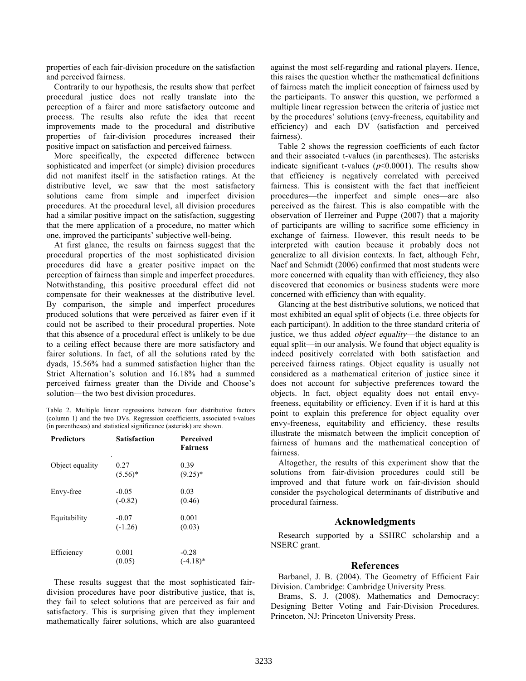properties of each fair-division procedure on the satisfaction and perceived fairness.

Contrarily to our hypothesis, the results show that perfect procedural justice does not really translate into the perception of a fairer and more satisfactory outcome and process. The results also refute the idea that recent improvements made to the procedural and distributive properties of fair-division procedures increased their positive impact on satisfaction and perceived fairness.

More specifically, the expected difference between sophisticated and imperfect (or simple) division procedures did not manifest itself in the satisfaction ratings. At the distributive level, we saw that the most satisfactory solutions came from simple and imperfect division procedures. At the procedural level, all division procedures had a similar positive impact on the satisfaction, suggesting that the mere application of a procedure, no matter which one, improved the participants' subjective well-being.

At first glance, the results on fairness suggest that the procedural properties of the most sophisticated division procedures did have a greater positive impact on the perception of fairness than simple and imperfect procedures. Notwithstanding, this positive procedural effect did not compensate for their weaknesses at the distributive level. By comparison, the simple and imperfect procedures produced solutions that were perceived as fairer even if it could not be ascribed to their procedural properties. Note that this absence of a procedural effect is unlikely to be due to a ceiling effect because there are more satisfactory and fairer solutions. In fact, of all the solutions rated by the dyads, 15.56% had a summed satisfaction higher than the Strict Alternation's solution and 16.18% had a summed perceived fairness greater than the Divide and Choose's solution—the two best division procedures.

Table 2. Multiple linear regressions between four distributive factors (column 1) and the two DVs. Regression coefficients, associated t-values (in parentheses) and statistical significance (asterisk) are shown.

| <b>Predictors</b> | <b>Satisfaction</b>  | Perceived<br><b>Fairness</b>      |
|-------------------|----------------------|-----------------------------------|
| Object equality   | 0.27<br>$(5.56)^*$   | 0.39<br>$(9.25)^*$                |
| Envy-free         | $-0.05$<br>$(-0.82)$ | 0.03<br>(0.46)                    |
| Equitability      | $-0.07$<br>$(-1.26)$ | 0.001<br>(0.03)                   |
| Efficiency        | 0.001<br>(0.05)      | $-0.28$<br>$(-4.18)$ <sup>*</sup> |

These results suggest that the most sophisticated fairdivision procedures have poor distributive justice, that is, they fail to select solutions that are perceived as fair and satisfactory. This is surprising given that they implement mathematically fairer solutions, which are also guaranteed against the most self-regarding and rational players. Hence, this raises the question whether the mathematical definitions of fairness match the implicit conception of fairness used by the participants. To answer this question, we performed a multiple linear regression between the criteria of justice met by the procedures' solutions (envy-freeness, equitability and efficiency) and each DV (satisfaction and perceived fairness).

Table 2 shows the regression coefficients of each factor and their associated t-values (in parentheses). The asterisks indicate significant t-values ( $p$ <0.0001). The results show that efficiency is negatively correlated with perceived fairness. This is consistent with the fact that inefficient procedures—the imperfect and simple ones—are also perceived as the fairest. This is also compatible with the observation of Herreiner and Puppe (2007) that a majority of participants are willing to sacrifice some efficiency in exchange of fairness. However, this result needs to be interpreted with caution because it probably does not generalize to all division contexts. In fact, although Fehr, Naef and Schmidt (2006) confirmed that most students were more concerned with equality than with efficiency, they also discovered that economics or business students were more concerned with efficiency than with equality.

Glancing at the best distributive solutions, we noticed that most exhibited an equal split of objects (i.e. three objects for each participant). In addition to the three standard criteria of justice, we thus added object equality—the distance to an equal split—in our analysis. We found that object equality is indeed positively correlated with both satisfaction and perceived fairness ratings. Object equality is usually not considered as a mathematical criterion of justice since it does not account for subjective preferences toward the objects. In fact, object equality does not entail envyfreeness, equitability or efficiency. Even if it is hard at this point to explain this preference for object equality over envy-freeness, equitability and efficiency, these results illustrate the mismatch between the implicit conception of fairness of humans and the mathematical conception of fairness.

Altogether, the results of this experiment show that the solutions from fair-division procedures could still be improved and that future work on fair-division should consider the psychological determinants of distributive and procedural fairness.

## **Acknowledgments**

Research supported by a SSHRC scholarship and a NSERC grant.

## **References**

Barbanel, J. B. (2004). The Geometry of Efficient Fair Division. Cambridge: Cambridge University Press.

Brams, S. J. (2008). Mathematics and Democracy: Designing Better Voting and Fair-Division Procedures. Princeton, NJ: Princeton University Press.